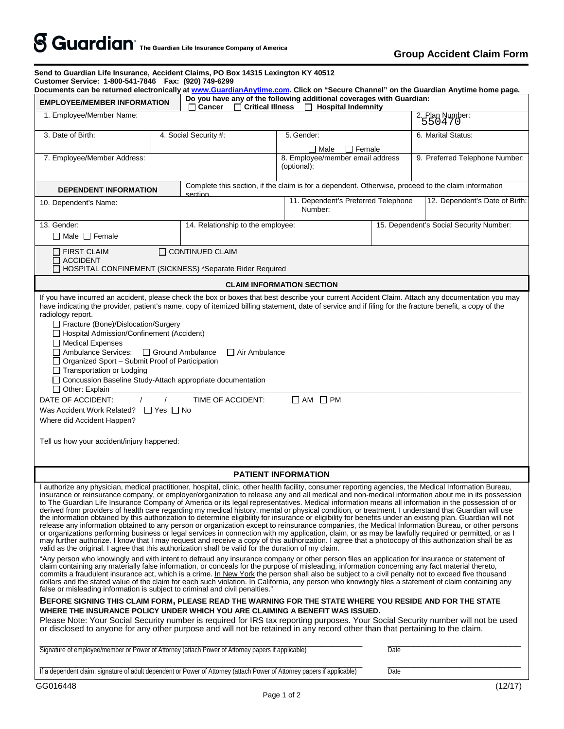| <b>EMPLOYEE/MEMBER INFORMATION</b>                                                                                                                                                                                                                                                                                                                                                                                                                                                                                                                                                                                                                                                                                                                                                                                                                                                                                                                                                                                                                                                                                                                                                                                                                                                                                                                                                                                                                                                                                                                                                                                                                                                                                                                                                                                                                                                                                                                                                                                                                                                                                                                                                                                                                                                                                                                                                                    |  | Documents can be returned electronically at www.GuardianAnytime.com. Click on "Secure Channel" on the Guardian Anytime home page.<br>Do you have any of the following additional coverages with Guardian:<br>$\Box$ Critical Illness $\Box$ Hospital Indemnity<br>Cancer |                                                 |                         |                                         |                                |
|-------------------------------------------------------------------------------------------------------------------------------------------------------------------------------------------------------------------------------------------------------------------------------------------------------------------------------------------------------------------------------------------------------------------------------------------------------------------------------------------------------------------------------------------------------------------------------------------------------------------------------------------------------------------------------------------------------------------------------------------------------------------------------------------------------------------------------------------------------------------------------------------------------------------------------------------------------------------------------------------------------------------------------------------------------------------------------------------------------------------------------------------------------------------------------------------------------------------------------------------------------------------------------------------------------------------------------------------------------------------------------------------------------------------------------------------------------------------------------------------------------------------------------------------------------------------------------------------------------------------------------------------------------------------------------------------------------------------------------------------------------------------------------------------------------------------------------------------------------------------------------------------------------------------------------------------------------------------------------------------------------------------------------------------------------------------------------------------------------------------------------------------------------------------------------------------------------------------------------------------------------------------------------------------------------------------------------------------------------------------------------------------------------|--|--------------------------------------------------------------------------------------------------------------------------------------------------------------------------------------------------------------------------------------------------------------------------|-------------------------------------------------|-------------------------|-----------------------------------------|--------------------------------|
| 1. Employee/Member Name:                                                                                                                                                                                                                                                                                                                                                                                                                                                                                                                                                                                                                                                                                                                                                                                                                                                                                                                                                                                                                                                                                                                                                                                                                                                                                                                                                                                                                                                                                                                                                                                                                                                                                                                                                                                                                                                                                                                                                                                                                                                                                                                                                                                                                                                                                                                                                                              |  |                                                                                                                                                                                                                                                                          |                                                 |                         |                                         | 2. Plan Number:<br>550470      |
| 3. Date of Birth:                                                                                                                                                                                                                                                                                                                                                                                                                                                                                                                                                                                                                                                                                                                                                                                                                                                                                                                                                                                                                                                                                                                                                                                                                                                                                                                                                                                                                                                                                                                                                                                                                                                                                                                                                                                                                                                                                                                                                                                                                                                                                                                                                                                                                                                                                                                                                                                     |  | 4. Social Security #:                                                                                                                                                                                                                                                    | 5. Gender:                                      |                         |                                         | 6. Marital Status:             |
|                                                                                                                                                                                                                                                                                                                                                                                                                                                                                                                                                                                                                                                                                                                                                                                                                                                                                                                                                                                                                                                                                                                                                                                                                                                                                                                                                                                                                                                                                                                                                                                                                                                                                                                                                                                                                                                                                                                                                                                                                                                                                                                                                                                                                                                                                                                                                                                                       |  |                                                                                                                                                                                                                                                                          |                                                 | $\Box$ Female<br>□ Male |                                         |                                |
| 7. Employee/Member Address:                                                                                                                                                                                                                                                                                                                                                                                                                                                                                                                                                                                                                                                                                                                                                                                                                                                                                                                                                                                                                                                                                                                                                                                                                                                                                                                                                                                                                                                                                                                                                                                                                                                                                                                                                                                                                                                                                                                                                                                                                                                                                                                                                                                                                                                                                                                                                                           |  |                                                                                                                                                                                                                                                                          | 8. Employee/member email address<br>(optional): |                         |                                         | 9. Preferred Telephone Number: |
| <b>DEPENDENT INFORMATION</b>                                                                                                                                                                                                                                                                                                                                                                                                                                                                                                                                                                                                                                                                                                                                                                                                                                                                                                                                                                                                                                                                                                                                                                                                                                                                                                                                                                                                                                                                                                                                                                                                                                                                                                                                                                                                                                                                                                                                                                                                                                                                                                                                                                                                                                                                                                                                                                          |  | Complete this section, if the claim is for a dependent. Otherwise, proceed to the claim information<br>section                                                                                                                                                           |                                                 |                         |                                         |                                |
| 10. Dependent's Name:                                                                                                                                                                                                                                                                                                                                                                                                                                                                                                                                                                                                                                                                                                                                                                                                                                                                                                                                                                                                                                                                                                                                                                                                                                                                                                                                                                                                                                                                                                                                                                                                                                                                                                                                                                                                                                                                                                                                                                                                                                                                                                                                                                                                                                                                                                                                                                                 |  |                                                                                                                                                                                                                                                                          | 11. Dependent's Preferred Telephone<br>Number:  |                         |                                         | 12. Dependent's Date of Birth: |
| 13. Gender:                                                                                                                                                                                                                                                                                                                                                                                                                                                                                                                                                                                                                                                                                                                                                                                                                                                                                                                                                                                                                                                                                                                                                                                                                                                                                                                                                                                                                                                                                                                                                                                                                                                                                                                                                                                                                                                                                                                                                                                                                                                                                                                                                                                                                                                                                                                                                                                           |  | 14. Relationship to the employee:                                                                                                                                                                                                                                        |                                                 |                         | 15. Dependent's Social Security Number: |                                |
| $\Box$ Male $\Box$ Female                                                                                                                                                                                                                                                                                                                                                                                                                                                                                                                                                                                                                                                                                                                                                                                                                                                                                                                                                                                                                                                                                                                                                                                                                                                                                                                                                                                                                                                                                                                                                                                                                                                                                                                                                                                                                                                                                                                                                                                                                                                                                                                                                                                                                                                                                                                                                                             |  |                                                                                                                                                                                                                                                                          |                                                 |                         |                                         |                                |
| $\Box$ FIRST CLAIM<br>$\Box$ ACCIDENT<br>□ HOSPITAL CONFINEMENT (SICKNESS) *Separate Rider Required                                                                                                                                                                                                                                                                                                                                                                                                                                                                                                                                                                                                                                                                                                                                                                                                                                                                                                                                                                                                                                                                                                                                                                                                                                                                                                                                                                                                                                                                                                                                                                                                                                                                                                                                                                                                                                                                                                                                                                                                                                                                                                                                                                                                                                                                                                   |  | $\Box$ CONTINUED CLAIM                                                                                                                                                                                                                                                   |                                                 |                         |                                         |                                |
|                                                                                                                                                                                                                                                                                                                                                                                                                                                                                                                                                                                                                                                                                                                                                                                                                                                                                                                                                                                                                                                                                                                                                                                                                                                                                                                                                                                                                                                                                                                                                                                                                                                                                                                                                                                                                                                                                                                                                                                                                                                                                                                                                                                                                                                                                                                                                                                                       |  |                                                                                                                                                                                                                                                                          | <b>CLAIM INFORMATION SECTION</b>                |                         |                                         |                                |
| If you have incurred an accident, please check the box or boxes that best describe your current Accident Claim. Attach any documentation you may<br>have indicating the provider, patient's name, copy of itemized billing statement, date of service and if filing for the fracture benefit, a copy of the<br>radiology report.<br>Fracture (Bone)/Dislocation/Surgery<br>□ Hospital Admission/Confinement (Accident)<br>$\Box$ Medical Expenses<br>□ Ambulance Services:<br>□ Organized Sport - Submit Proof of Participation<br>$\Box$ Transportation or Lodging<br>□ Concussion Baseline Study-Attach appropriate documentation<br>$\Box$ Other: Explain<br>DATE OF ACCIDENT:<br>Was Accident Work Related? $\Box$ Yes $\Box$ No<br>Where did Accident Happen?<br>Tell us how your accident/injury happened:                                                                                                                                                                                                                                                                                                                                                                                                                                                                                                                                                                                                                                                                                                                                                                                                                                                                                                                                                                                                                                                                                                                                                                                                                                                                                                                                                                                                                                                                                                                                                                                      |  | □ Ground Ambulance<br>$\Box$ Air Ambulance<br>TIME OF ACCIDENT:                                                                                                                                                                                                          | $\Box$ AM $\Box$ PM                             |                         |                                         |                                |
|                                                                                                                                                                                                                                                                                                                                                                                                                                                                                                                                                                                                                                                                                                                                                                                                                                                                                                                                                                                                                                                                                                                                                                                                                                                                                                                                                                                                                                                                                                                                                                                                                                                                                                                                                                                                                                                                                                                                                                                                                                                                                                                                                                                                                                                                                                                                                                                                       |  |                                                                                                                                                                                                                                                                          | <b>PATIENT INFORMATION</b>                      |                         |                                         |                                |
| I authorize any physician, medical practitioner, hospital, clinic, other health facility, consumer reporting agencies, the Medical Information Bureau,<br>insurance or reinsurance company, or employer/organization to release any and all medical and non-medical information about me in its possession<br>to The Guardian Life Insurance Company of America or its legal representatives. Medical information means all information in the possession of or<br>derived from providers of health care regarding my medical history, mental or physical condition, or treatment. I understand that Guardian will use<br>the information obtained by this authorization to determine eligibility for insurance or eligibility for benefits under an existing plan. Guardian will not<br>release any information obtained to any person or organization except to reinsurance companies, the Medical Information Bureau, or other persons<br>or organizations performing business or legal services in connection with my application, claim, or as may be lawfully required or permitted, or as I<br>may further authorize. I know that I may request and receive a copy of this authorization. I agree that a photocopy of this authorization shall be as<br>valid as the original. I agree that this authorization shall be valid for the duration of my claim.<br>"Any person who knowingly and with intent to defraud any insurance company or other person files an application for insurance or statement of<br>claim containing any materially false information, or conceals for the purpose of misleading, information concerning any fact material thereto,<br>commits a fraudulent insurance act, which is a crime. In New York the person shall also be subject to a civil penalty not to exceed five thousand<br>dollars and the stated value of the claim for each such violation. In California, any person who knowingly files a statement of claim containing any<br>false or misleading information is subject to criminal and civil penalties."<br>BEFORE SIGNING THIS CLAIM FORM, PLEASE READ THE WARNING FOR THE STATE WHERE YOU RESIDE AND FOR THE STATE<br>WHERE THE INSURANCE POLICY UNDER WHICH YOU ARE CLAIMING A BENEFIT WAS ISSUED.<br>Please Note: Your Social Security number is required for IRS tax reporting purposes. Your Social Security number will not be used |  |                                                                                                                                                                                                                                                                          |                                                 |                         |                                         |                                |
| or disclosed to anyone for any other purpose and will not be retained in any record other than that pertaining to the claim.<br>Signature of employee/member or Power of Attorney (attach Power of Attorney papers if applicable)                                                                                                                                                                                                                                                                                                                                                                                                                                                                                                                                                                                                                                                                                                                                                                                                                                                                                                                                                                                                                                                                                                                                                                                                                                                                                                                                                                                                                                                                                                                                                                                                                                                                                                                                                                                                                                                                                                                                                                                                                                                                                                                                                                     |  |                                                                                                                                                                                                                                                                          |                                                 |                         | Date                                    |                                |
| If a dependent claim, signature of adult dependent or Power of Attorney (attach Power of Attorney papers if applicable)                                                                                                                                                                                                                                                                                                                                                                                                                                                                                                                                                                                                                                                                                                                                                                                                                                                                                                                                                                                                                                                                                                                                                                                                                                                                                                                                                                                                                                                                                                                                                                                                                                                                                                                                                                                                                                                                                                                                                                                                                                                                                                                                                                                                                                                                               |  |                                                                                                                                                                                                                                                                          |                                                 |                         | Date                                    |                                |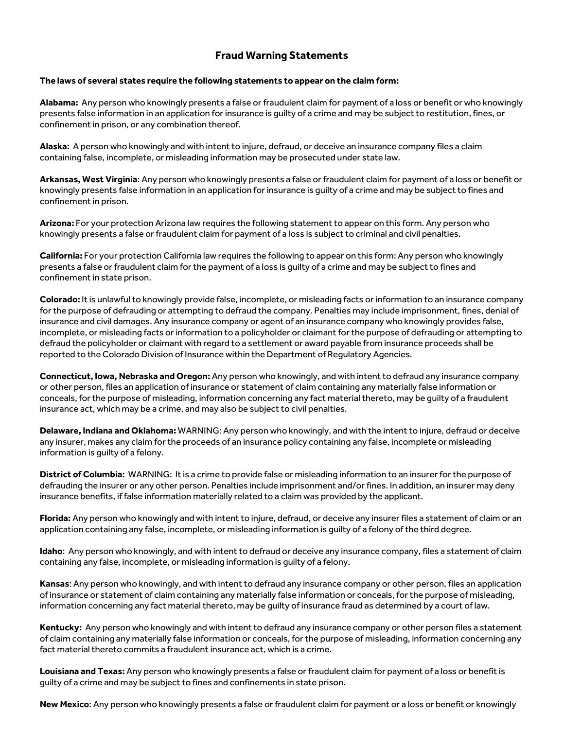## **Fraud Warning Statements**

## **The laws of several states require the following statements to appear on the claim form:**

**Alabama:** Any person who knowingly presents a false or fraudulent claim for payment of a loss or benefit or who knowingly presents false information in an application for insurance is guilty of a crime and may be subject to restitution, fines, or confinement in prison, or any combination thereof.

**Alaska:** A person who knowingly and with intent to injure, defraud, or deceive an insurance company files a claim containing false, incomplete, or misleading information may be prosecuted under state law.

**Arkansas, West Virginia**: Any person who knowingly presents a false or fraudulent claim for payment of a loss or benefit or knowingly presents false information in an application for insurance is guilty of a crime and may be subject to fines and confinement in prison.

**Arizona:** For your protection Arizona law requires the following statement to appear on this form. Any person who knowingly presents a false or fraudulent claim for payment of a loss is subject to criminal and civil penalties.

**California:** For your protection California law requires the following to appear on this form: Any person who knowingly presents a false or fraudulent claim for the payment of a loss is guilty of a crime and may be subject to fines and confinement in state prison.

**Colorado:** It is unlawful to knowingly provide false, incomplete, or misleading facts or information to an insurance company for the purpose of defrauding or attempting to defraud the company. Penalties may include imprisonment, fines, denial of insurance and civil damages. Any insurance company or agent of an insurance company who knowingly provides false, incomplete, or misleading facts or information to a policyholder or claimant for the purpose of defrauding or attempting to defraud the policyholder or claimant with regard to a settlement or award payable from insurance proceeds shall be reported to the Colorado Division of Insurance within the Department of Regulatory Agencies.

**Connecticut, Iowa, Nebraska and Oregon:** Any person who knowingly, and with intent to defraud any insurance company or other person, files an application of insurance or statement of claim containing any materially false information or conceals, for the purpose of misleading, information concerning any fact material thereto, may be guilty of a fraudulent insurance act, which may be a crime, and may also be subject to civil penalties.

**Delaware, Indiana and Oklahoma:** WARNING: Any person who knowingly, and with the intent to injure, defraud or deceive any insurer, makes any claim for the proceeds of an insurance policy containing any false, incomplete or misleading information is guilty of a felony.

**District of Columbia:** WARNING: It is a crime to provide false or misleading information to an insurer for the purpose of defrauding the insurer or any other person. Penalties include imprisonment and/or fines. In addition, an insurer may deny insurance benefits, if false information materially related to a claim was provided by the applicant.

**Florida:** Any person who knowingly and with intent to injure, defraud, or deceive any insurer files a statement of claim or an application containing any false, incomplete, or misleading information is guilty of a felony of the third degree.

**Idaho**: Any person who knowingly, and with intent to defraud or deceive any insurance company, files a statement of claim containing any false, incomplete, or misleading information is guilty of a felony.

**Kansas**: Any person who knowingly, and with intent to defraud any insurance company or other person, files an application of insurance or statement of claim containing any materially false information or conceals, for the purpose of misleading, information concerning any fact material thereto, may be guilty of insurance fraud as determined by a court of law.

Kentucky: Any person who knowingly and with intent to defraud any insurance company or other person files a statement of claim containing any materially false information or conceals, for the purpose of misleading, information concerning any fact material thereto commits a fraudulent insurance act, which is a crime.

**Louisiana and Texas:** Any person who knowingly presents a false or fraudulent claim for payment of a loss or benefit is guilty of a crime and may be subject to fines and confinements in state prison.

**New Mexico**: Any person who knowingly presents a false or fraudulent claim for payment or a loss or benefit or knowingly